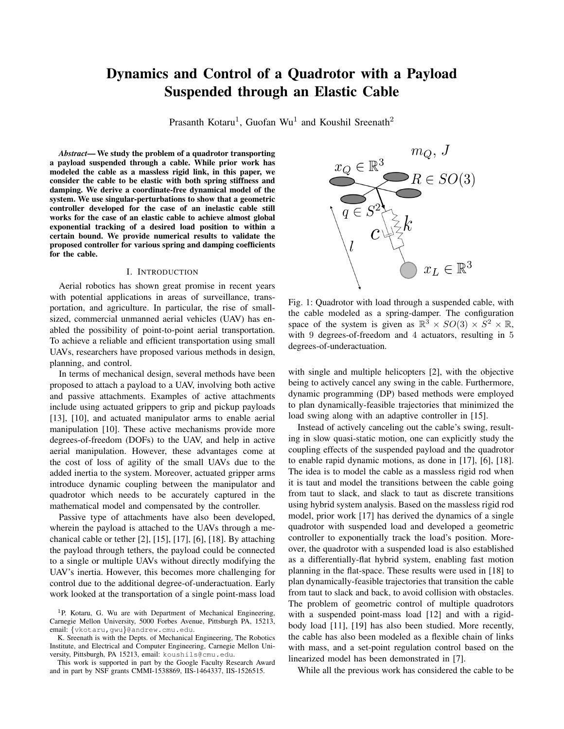# Dynamics and Control of a Quadrotor with a Payload Suspended through an Elastic Cable

Prasanth Kotaru<sup>1</sup>, Guofan Wu<sup>1</sup> and Koushil Sreenath<sup>2</sup>

*Abstract*— We study the problem of a quadrotor transporting a payload suspended through a cable. While prior work has modeled the cable as a massless rigid link, in this paper, we consider the cable to be elastic with both spring stiffness and damping. We derive a coordinate-free dynamical model of the system. We use singular-perturbations to show that a geometric controller developed for the case of an inelastic cable still works for the case of an elastic cable to achieve almost global exponential tracking of a desired load position to within a certain bound. We provide numerical results to validate the proposed controller for various spring and damping coefficients for the cable.

## I. INTRODUCTION

Aerial robotics has shown great promise in recent years with potential applications in areas of surveillance, transportation, and agriculture. In particular, the rise of smallsized, commercial unmanned aerial vehicles (UAV) has enabled the possibility of point-to-point aerial transportation. To achieve a reliable and efficient transportation using small UAVs, researchers have proposed various methods in design, planning, and control.

In terms of mechanical design, several methods have been proposed to attach a payload to a UAV, involving both active and passive attachments. Examples of active attachments include using actuated grippers to grip and pickup payloads [13], [10], and actuated manipulator arms to enable aerial manipulation [10]. These active mechanisms provide more degrees-of-freedom (DOFs) to the UAV, and help in active aerial manipulation. However, these advantages come at the cost of loss of agility of the small UAVs due to the added inertia to the system. Moreover, actuated gripper arms introduce dynamic coupling between the manipulator and quadrotor which needs to be accurately captured in the mathematical model and compensated by the controller.

Passive type of attachments have also been developed, wherein the payload is attached to the UAVs through a mechanical cable or tether [2], [15], [17], [6], [18]. By attaching the payload through tethers, the payload could be connected to a single or multiple UAVs without directly modifying the UAV's inertia. However, this becomes more challenging for control due to the additional degree-of-underactuation. Early work looked at the transportation of a single point-mass load

K. Sreenath is with the Depts. of Mechanical Engineering, The Robotics Institute, and Electrical and Computer Engineering, Carnegie Mellon University, Pittsburgh, PA 15213, email: koushils@cmu.edu.

This work is supported in part by the Google Faculty Research Award and in part by NSF grants CMMI-1538869, IIS-1464337, IIS-1526515.



Fig. 1: Quadrotor with load through a suspended cable, with the cable modeled as a spring-damper. The configuration space of the system is given as  $\mathbb{R}^3 \times SO(3) \times \overline{S}^2 \times \mathbb{R}$ , with 9 degrees-of-freedom and 4 actuators, resulting in 5 degrees-of-underactuation.

with single and multiple helicopters [2], with the objective being to actively cancel any swing in the cable. Furthermore, dynamic programming (DP) based methods were employed to plan dynamically-feasible trajectories that minimized the load swing along with an adaptive controller in [15].

Instead of actively canceling out the cable's swing, resulting in slow quasi-static motion, one can explicitly study the coupling effects of the suspended payload and the quadrotor to enable rapid dynamic motions, as done in [17], [6], [18]. The idea is to model the cable as a massless rigid rod when it is taut and model the transitions between the cable going from taut to slack, and slack to taut as discrete transitions using hybrid system analysis. Based on the massless rigid rod model, prior work [17] has derived the dynamics of a single quadrotor with suspended load and developed a geometric controller to exponentially track the load's position. Moreover, the quadrotor with a suspended load is also established as a differentially-flat hybrid system, enabling fast motion planning in the flat-space. These results were used in [18] to plan dynamically-feasible trajectories that transition the cable from taut to slack and back, to avoid collision with obstacles. The problem of geometric control of multiple quadrotors with a suspended point-mass load [12] and with a rigidbody load [11], [19] has also been studied. More recently, the cable has also been modeled as a flexible chain of links with mass, and a set-point regulation control based on the linearized model has been demonstrated in [7].

While all the previous work has considered the cable to be

<sup>&</sup>lt;sup>1</sup>P. Kotaru, G. Wu are with Department of Mechanical Engineering, Carnegie Mellon University, 5000 Forbes Avenue, Pittsburgh PA, 15213, email: {vkotaru,gwu}@andrew.cmu.edu.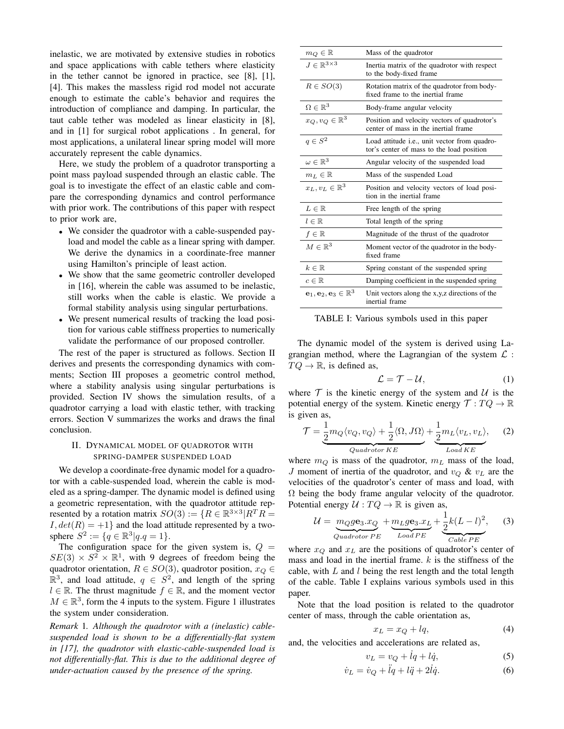inelastic, we are motivated by extensive studies in robotics and space applications with cable tethers where elasticity in the tether cannot be ignored in practice, see [8], [1], [4]. This makes the massless rigid rod model not accurate enough to estimate the cable's behavior and requires the introduction of compliance and damping. In particular, the taut cable tether was modeled as linear elasticity in [8], and in [1] for surgical robot applications . In general, for most applications, a unilateral linear spring model will more accurately represent the cable dynamics.

Here, we study the problem of a quadrotor transporting a point mass payload suspended through an elastic cable. The goal is to investigate the effect of an elastic cable and compare the corresponding dynamics and control performance with prior work. The contributions of this paper with respect to prior work are,

- We consider the quadrotor with a cable-suspended payload and model the cable as a linear spring with damper. We derive the dynamics in a coordinate-free manner using Hamilton's principle of least action.
- We show that the same geometric controller developed in [16], wherein the cable was assumed to be inelastic, still works when the cable is elastic. We provide a formal stability analysis using singular perturbations.
- We present numerical results of tracking the load position for various cable stiffness properties to numerically validate the performance of our proposed controller.

The rest of the paper is structured as follows. Section II derives and presents the corresponding dynamics with comments; Section III proposes a geometric control method, where a stability analysis using singular perturbations is provided. Section IV shows the simulation results, of a quadrotor carrying a load with elastic tether, with tracking errors. Section V summarizes the works and draws the final conclusion.

## II. DYNAMICAL MODEL OF QUADROTOR WITH SPRING-DAMPER SUSPENDED LOAD

We develop a coordinate-free dynamic model for a quadrotor with a cable-suspended load, wherein the cable is modeled as a spring-damper. The dynamic model is defined using a geometric representation, with the quadrotor attitude represented by a rotation matrix  $SO(3) := \{ R \in \mathbb{R}^{3 \times 3} | R^T R =$  $I, det(R) = +1$  and the load attitude represented by a twosphere  $S^2 := \{q \in \mathbb{R}^3 | q,q=1 \}.$ 

The configuration space for the given system is,  $Q =$  $SE(3) \times S^2 \times \mathbb{R}^1$ , with 9 degrees of freedom being the quadrotor orientation,  $R \in SO(3)$ , quadrotor position,  $x<sub>O</sub> \in$  $\mathbb{R}^3$ , and load attitude,  $q \in S^2$ , and length of the spring  $l \in \mathbb{R}$ . The thrust magnitude  $f \in \mathbb{R}$ , and the moment vector  $M \in \mathbb{R}^3$ , form the 4 inputs to the system. Figure 1 illustrates the system under consideration.

*Remark* 1*. Although the quadrotor with a (inelastic) cablesuspended load is shown to be a differentially-flat system in [17], the quadrotor with elastic-cable-suspended load is not differentially-flat. This is due to the additional degree of under-actuation caused by the presence of the spring.*

| $m_Q\in\mathbb{R}$                                          | Mass of the quadrotor                                                                             |
|-------------------------------------------------------------|---------------------------------------------------------------------------------------------------|
| $J \in \mathbb{R}^{3 \times 3}$                             | Inertia matrix of the quadrotor with respect<br>to the body-fixed frame                           |
| $R \in SO(3)$                                               | Rotation matrix of the quadrotor from body-<br>fixed frame to the inertial frame                  |
| $\Omega \in \mathbb{R}^3$                                   | Body-frame angular velocity                                                                       |
| $x_Q,v_Q\in\mathbb{R}^3$                                    | Position and velocity vectors of quadrotor's<br>center of mass in the inertial frame              |
| $q \in S^2$                                                 | Load attitude <i>i.e.</i> , unit vector from quadro-<br>tor's center of mass to the load position |
| $\omega \in \mathbb{R}^3$                                   | Angular velocity of the suspended load                                                            |
| $m_L \in \mathbb{R}$                                        | Mass of the suspended Load                                                                        |
| $x_L, v_L \in \mathbb{R}^3$                                 | Position and velocity vectors of load posi-<br>tion in the inertial frame                         |
| $L \in \mathbb{R}$                                          | Free length of the spring                                                                         |
| $l\in\mathbb{R}$                                            | Total length of the spring                                                                        |
| $f \in \mathbb{R}$                                          | Magnitude of the thrust of the quadrotor                                                          |
| $M \in \mathbb{R}^3$                                        | Moment vector of the quadrotor in the body-<br>fixed frame                                        |
| $k\in\mathbb{R}$                                            | Spring constant of the suspended spring                                                           |
| $c \in \mathbb{R}$                                          | Damping coefficient in the suspended spring                                                       |
| $\mathbf{e}_1, \mathbf{e}_2, \mathbf{e}_3 \in \mathbb{R}^3$ | Unit vectors along the x,y,z directions of the<br>inertial frame                                  |

TABLE I: Various symbols used in this paper

The dynamic model of the system is derived using Lagrangian method, where the Lagrangian of the system  $\mathcal{L}$  :  $TQ \rightarrow \mathbb{R}$ , is defined as,

$$
\mathcal{L} = \mathcal{T} - \mathcal{U},\tag{1}
$$

where  $T$  is the kinetic energy of the system and  $U$  is the potential energy of the system. Kinetic energy  $\mathcal{T}: TQ \to \mathbb{R}$ is given as,

$$
\mathcal{T} = \underbrace{\frac{1}{2} m_Q \langle v_Q, v_Q \rangle + \frac{1}{2} \langle \Omega, J\Omega \rangle}_{Quadrotor \, KE} + \underbrace{\frac{1}{2} m_L \langle v_L, v_L \rangle}_{Load \, KE}, \quad (2)
$$

where  $m_Q$  is mass of the quadrotor,  $m_L$  mass of the load, J moment of inertia of the quadrotor, and  $v_Q \& v_L$  are the velocities of the quadrotor's center of mass and load, with  $\Omega$  being the body frame angular velocity of the quadrotor. Potential energy  $U: TQ \to \mathbb{R}$  is given as,

$$
\mathcal{U} = \underbrace{m_Q g \mathbf{e}_3.x_Q}_{Quadrotor \, PE} + \underbrace{m_L g \mathbf{e}_3.x_L}_{Load \, PE} + \underbrace{\frac{1}{2} k(L-l)^2}_{Cable \, PE}, \tag{3}
$$

where  $x_Q$  and  $x_L$  are the positions of quadrotor's center of mass and load in the inertial frame.  $k$  is the stiffness of the cable, with  $L$  and  $l$  being the rest length and the total length of the cable. Table I explains various symbols used in this paper.

Note that the load position is related to the quadrotor center of mass, through the cable orientation as,

$$
x_L = x_Q + lq,\t\t(4)
$$

and, the velocities and accelerations are related as,

$$
v_L = v_Q + \dot{l}q + l\dot{q},\tag{5}
$$

$$
\dot{v}_L = \dot{v}_Q + \ddot{l}q + l\ddot{q} + 2\dot{l}\dot{q}.\tag{6}
$$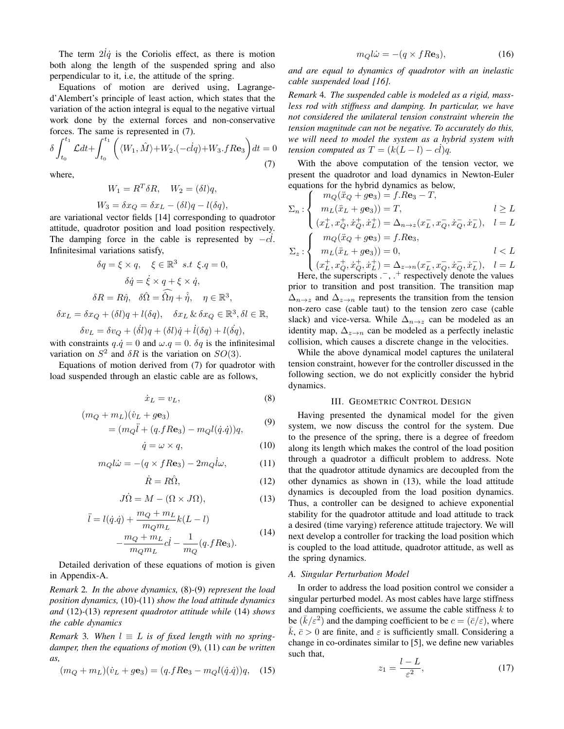The term  $2l\dot{q}$  is the Coriolis effect, as there is motion both along the length of the suspended spring and also perpendicular to it, i.e, the attitude of the spring.

Equations of motion are derived using, Lagranged'Alembert's principle of least action, which states that the variation of the action integral is equal to the negative virtual work done by the external forces and non-conservative forces. The same is represented in (7).

$$
\delta \int_{t_0}^{t_1} \mathcal{L} dt + \int_{t_0}^{t_1} \left( \langle W_1, \hat{M} \rangle + W_2 \cdot (-clq) + W_3 \cdot f R \mathbf{e}_3 \right) dt = 0
$$
\n(7)

where,

$$
W_1 = R^T \delta R, \quad W_2 = (\delta l) q,
$$
  

$$
W_3 = \delta x_Q = \delta x_L - (\delta l) q - l(\delta q),
$$

are variational vector fields [14] corresponding to quadrotor attitude, quadrotor position and load position respectively. The damping force in the cable is represented by  $-c\ddot{l}$ . Infinitesimal variations satisfy,

$$
\delta q = \xi \times q, \quad \xi \in \mathbb{R}^3 \quad s.t \quad \xi.q = 0,
$$

$$
\delta \dot{q} = \dot{\xi} \times q + \xi \times \dot{q},
$$

$$
\delta R = R\hat{\eta}, \quad \delta \hat{\Omega} = \widehat{\Omega}\hat{\eta} + \hat{\eta}, \quad \eta \in \mathbb{R}^3,
$$

$$
\delta x_L = \delta x_Q + (\delta l)q + l(\delta q), \quad \delta x_L \& \delta x_Q \in \mathbb{R}^3, \delta l \in
$$

 $\delta v_L = \delta v_Q + (\dot{\delta}l)q + (\delta l)\dot{q} + \dot{l}(\delta q) + l(\dot{\delta q}),$ 

with constraints  $q \cdot \dot{q} = 0$  and  $\omega \cdot q = 0$ .  $\delta q$  is the infinitesimal variation on  $S^2$  and  $\delta R$  is the variation on  $SO(3)$ .

Equations of motion derived from (7) for quadrotor with load suspended through an elastic cable are as follows,

$$
\dot{x}_L = v_L,\tag{8}
$$

 $\mathbb{R},$ 

$$
(m_Q + m_L)(\dot{v}_L + g\mathbf{e}_3)
$$
  
=  $(m_Q\ddot{l} + (q.fRe_3) - m_Ql(\dot{q}.\dot{q}))q,$  (9)

$$
\dot{q} = \omega \times q,\tag{10}
$$

$$
m_Q l \dot{\omega} = -(q \times f R \mathbf{e}_3) - 2m_Q l \omega, \tag{11}
$$

$$
\dot{R} = R\hat{\Omega},\tag{12}
$$

$$
J\dot{\Omega} = M - (\Omega \times J\Omega), \tag{13}
$$

$$
\ddot{l} = l(\dot{q}.\dot{q}) + \frac{m_Q + m_L}{m_Q m_L} k(L - l)
$$
  

$$
- \frac{m_Q + m_L}{m_Q m_L} c \dot{l} - \frac{1}{m_Q} (q.fR\mathbf{e}_3).
$$
 (14)

Detailed derivation of these equations of motion is given in Appendix-A.

*Remark* 2*. In the above dynamics,* (8)*-*(9) *represent the load position dynamics,* (10)*-*(11) *show the load attitude dynamics and* (12)*-*(13) *represent quadrotor attitude while* (14) *shows the cable dynamics*

*Remark* 3. When  $l \equiv L$  *is of fixed length with no springdamper, then the equations of motion* (9)*,* (11) *can be written as,*

$$
(m_Q + m_L)(\dot{v}_L + g\mathbf{e}_3) = (q.fR\mathbf{e}_3 - m_Ql(\dot{q}.\dot{q}))q, \quad (15)
$$

$$
m_Q l \dot{\omega} = -(q \times f R \mathbf{e}_3),\tag{16}
$$

*and are equal to dynamics of quadrotor with an inelastic cable suspended load [16].*

*Remark* 4*. The suspended cable is modeled as a rigid, massless rod with stiffness and damping. In particular, we have not considered the unilateral tension constraint wherein the tension magnitude can not be negative. To accurately do this, we will need to model the system as a hybrid system with tension computed as*  $T = (k(L - l) - c\dot{l})q$ .

With the above computation of the tension vector, we present the quadrotor and load dynamics in Newton-Euler equations for the hybrid dynamics as below,

$$
\Sigma_n : \begin{cases} \quad m_Q(\ddot{x}_Q+g\mathbf{e}_3)=f.R\mathbf{e}_3-T, \\ \quad m_L(\ddot{x}_L+g\mathbf{e}_3))=T, \\ \quad (x_L^+,x_Q^+, \dot{x}_Q^+, \dot{x}_L^+) = \Delta_{n\to z}(x_L^-,x_Q^-, \dot{x}_Q^-, \dot{x}_L^-), \quad l=L \\ \quad m_Q(\ddot{x}_Q+g\mathbf{e}_3)=f.R\mathbf{e}_3, \\ \quad m_L(\ddot{x}_L+g\mathbf{e}_3))=0, \\ \quad (x_L^+,x_Q^+, \dot{x}_Q^+, \dot{x}_L^+) = \Delta_{z\to n}(x_L^-,x_Q^-, \dot{x}_Q^-, \dot{x}_L^-), \quad l=L \end{cases}
$$

Here, the superscripts . –, . + respectively denote the values prior to transition and post transition. The transition map  $\Delta_{n\to z}$  and  $\Delta_{z\to n}$  represents the transition from the tension non-zero case (cable taut) to the tension zero case (cable slack) and vice-versa. While  $\Delta_{n\to z}$  can be modeled as an identity map,  $\Delta_{z\to n}$  can be modeled as a perfectly inelastic collision, which causes a discrete change in the velocities.

While the above dynamical model captures the unilateral tension constraint, however for the controller discussed in the following section, we do not explicitly consider the hybrid dynamics.

### III. GEOMETRIC CONTROL DESIGN

Having presented the dynamical model for the given system, we now discuss the control for the system. Due to the presence of the spring, there is a degree of freedom along its length which makes the control of the load position through a quadrotor a difficult problem to address. Note that the quadrotor attitude dynamics are decoupled from the other dynamics as shown in (13), while the load attitude dynamics is decoupled from the load position dynamics. Thus, a controller can be designed to achieve exponential stability for the quadrotor attitude and load attitude to track a desired (time varying) reference attitude trajectory. We will next develop a controller for tracking the load position which is coupled to the load attitude, quadrotor attitude, as well as the spring dynamics.

#### *A. Singular Perturbation Model*

In order to address the load position control we consider a singular perturbed model. As most cables have large stiffness and damping coefficients, we assume the cable stiffness  $k$  to be  $(\bar{k}/\varepsilon^2)$  and the damping coefficient to be  $c = (\bar{c}/\varepsilon)$ , where  $\bar{k}, \bar{c} > 0$  are finite, and  $\varepsilon$  is sufficiently small. Considering a change in co-ordinates similar to [5], we define new variables such that,

$$
z_1 = \frac{l - L}{\varepsilon^2},\tag{17}
$$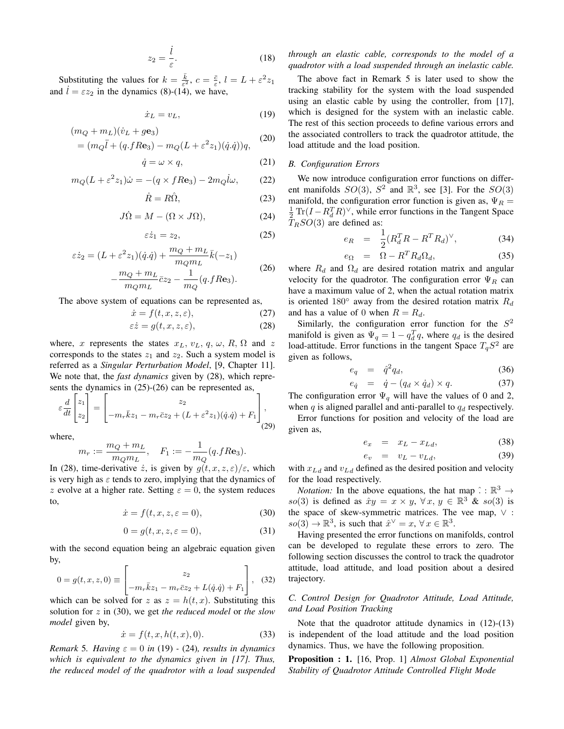$$
z_2 = \frac{i}{\varepsilon}.\tag{18}
$$

Substituting the values for  $k = \frac{\bar{k}}{\varepsilon^2}$ ,  $c = \frac{\bar{c}}{\varepsilon}$ ,  $l = L + \varepsilon^2 z_1$ and  $\dot{l} = \varepsilon z_2$  in the dynamics (8)-(14), we have,

$$
\dot{x}_L = v_L,\tag{19}
$$

$$
(m_Q + m_L)(\dot{v}_L + g\mathbf{e}_3)
$$
  
=  $(m_Q\ddot{l} + (q.fRe_3) - m_Q(L + \varepsilon^2 z_1)(\dot{q}.\dot{q}))q,$  (20)

$$
\dot{q} = \omega \times q,\tag{21}
$$

$$
m_Q(L + \varepsilon^2 z_1)\dot{\omega} = -(q \times fR\mathbf{e}_3) - 2m_Q \dot{l}\omega, \qquad (22)
$$

$$
\dot{R} = R\hat{\Omega},\tag{23}
$$

$$
J\dot{\Omega} = M - (\Omega \times J\Omega), \tag{24}
$$

$$
\varepsilon \dot{z}_1 = z_2,\tag{25}
$$

$$
\varepsilon \dot{z}_2 = (L + \varepsilon^2 z_1)(\dot{q}.\dot{q}) + \frac{m_Q + m_L}{m_Q m_L} \bar{k}(-z_1)
$$
  

$$
m_Q + m_L
$$
 (26)

$$
-\frac{m_Q + m_L}{m_Q m_L} \bar{c} z_2 - \frac{1}{m_Q} (q.fR\mathbf{e}_3).
$$

The above system of equations can be represented as,

$$
\dot{x} = f(t, x, z, \varepsilon),\tag{27}
$$

$$
\varepsilon \dot{z} = g(t, x, z, \varepsilon),\tag{28}
$$

where, x represents the states  $x_L$ ,  $v_L$ ,  $q$ ,  $\omega$ ,  $R$ ,  $\Omega$  and z corresponds to the states  $z_1$  and  $z_2$ . Such a system model is referred as a *Singular Perturbation Model*, [9, Chapter 11]. We note that, the *fast dynamics* given by (28), which represents the dynamics in (25)-(26) can be represented as,

$$
\varepsilon \frac{d}{dt} \begin{bmatrix} z_1 \\ z_2 \end{bmatrix} = \begin{bmatrix} z_2 \\ -m_r \bar{k} z_1 - m_r \bar{c} z_2 + (L + \varepsilon^2 z_1)(\dot{q} \cdot \dot{q}) + F_1 \end{bmatrix},
$$
\n(29)

where,

$$
m_r := \frac{m_Q + m_L}{m_Q m_L}, \quad F_1 := -\frac{1}{m_Q}(q.fR\mathbf{e}_3).
$$

In (28), time-derivative z, is given by  $q(t, x, z, \varepsilon)/\varepsilon$ , which is very high as  $\varepsilon$  tends to zero, implying that the dynamics of z evolve at a higher rate. Setting  $\varepsilon = 0$ , the system reduces to,

$$
\dot{x} = f(t, x, z, \varepsilon = 0),\tag{30}
$$

$$
0 = g(t, x, z, \varepsilon = 0),\tag{31}
$$

with the second equation being an algebraic equation given by,

$$
0 = g(t, x, z, 0) \equiv \begin{bmatrix} z_2 \\ -m_r \bar{k} z_1 - m_r \bar{c} z_2 + L(\dot{q} \cdot \dot{q}) + F_1 \end{bmatrix}, \quad (32)
$$

which can be solved for z as  $z = h(t, x)$ . Substituting this solution for z in (30), we get *the reduced model* or *the slow model* given by,

$$
\dot{x} = f(t, x, h(t, x), 0). \tag{33}
$$

*Remark* 5*. Having*  $\varepsilon = 0$  *in* (19) - (24)*, results in dynamics which is equivalent to the dynamics given in [17]. Thus, the reduced model of the quadrotor with a load suspended*

## *through an elastic cable, corresponds to the model of a quadrotor with a load suspended through an inelastic cable.*

The above fact in Remark 5 is later used to show the tracking stability for the system with the load suspended using an elastic cable by using the controller, from [17], which is designed for the system with an inelastic cable. The rest of this section proceeds to define various errors and the associated controllers to track the quadrotor attitude, the load attitude and the load position.

#### *B. Configuration Errors*

We now introduce configuration error functions on different manifolds  $SO(3)$ ,  $S^2$  and  $\mathbb{R}^3$ , see [3]. For the  $SO(3)$ manifold, the configuration error function is given as,  $\Psi_R =$  $\frac{1}{2} \text{Tr}(I - R_d^T R)^{\vee}$ , while error functions in the Tangent Space  $T_RSO(3)$  are defined as:

$$
e_R = \frac{1}{2} (R_d^T R - R^T R_d)^{\vee}, \tag{34}
$$

$$
e_{\Omega} = \Omega - R^T R_d \Omega_d, \qquad (35)
$$

where  $R_d$  and  $\Omega_d$  are desired rotation matrix and angular velocity for the quadrotor. The configuration error  $\Psi_R$  can have a maximum value of 2, when the actual rotation matrix is oriented 180 $\degree$  away from the desired rotation matrix  $R_d$ and has a value of 0 when  $R = R_d$ .

Similarly, the configuration error function for the  $S^2$ manifold is given as  $\Psi_q = 1 - q_d^T q$ , where  $q_d$  is the desired load-attitude. Error functions in the tangent Space  $T_qS^2$  are given as follows,

$$
e_q = \hat{q}^2 q_d, \tag{36}
$$

$$
e_{\dot{q}} = \dot{q} - (q_d \times \dot{q}_d) \times q. \tag{37}
$$

The configuration error  $\Psi_q$  will have the values of 0 and 2, when  $q$  is aligned parallel and anti-parallel to  $q_d$  respectively.

Error functions for position and velocity of the load are given as,

$$
e_x = x_L - x_{Ld}, \tag{38}
$$

$$
e_v = v_L - v_{Ld}, \tag{39}
$$

with  $x_{L_d}$  and  $v_{L_d}$  defined as the desired position and velocity for the load respectively.

*Notation:* In the above equations, the hat map  $\hat{C}$  :  $\mathbb{R}^3 \rightarrow$ so(3) is defined as  $\hat{x}y = x \times y$ ,  $\forall x, y \in \mathbb{R}^3$  & so(3) is the space of skew-symmetric matrices. The vee map, ∨ :  $so(3) \to \mathbb{R}^3$ , is such that  $\hat{x}^{\vee} = x$ ,  $\forall x \in \mathbb{R}^3$ .

Having presented the error functions on manifolds, control can be developed to regulate these errors to zero. The following section discusses the control to track the quadrotor attitude, load attitude, and load position about a desired trajectory.

## *C. Control Design for Quadrotor Attitude, Load Attitude, and Load Position Tracking*

Note that the quadrotor attitude dynamics in (12)-(13) is independent of the load attitude and the load position dynamics. Thus, we have the following proposition.

Proposition : 1. [16, Prop. 1] *Almost Global Exponential Stability of Quadrotor Attitude Controlled Flight Mode*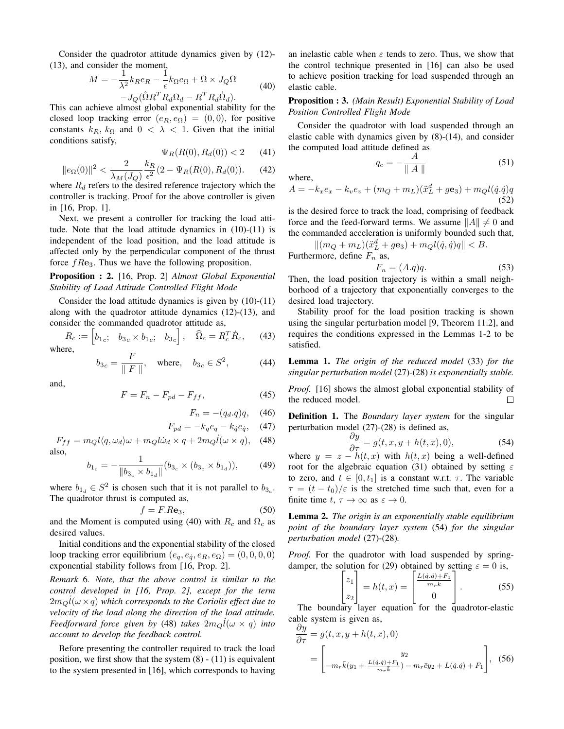Consider the quadrotor attitude dynamics given by (12)- (13), and consider the moment,

$$
M = -\frac{1}{\lambda^2} k_R e_R - \frac{1}{\epsilon} k_\Omega e_\Omega + \Omega \times J_Q \Omega
$$
  
-  $J_Q(\hat{\Omega} R^T R_d \Omega_d - R^T R_d \hat{\Omega}_d).$  (40)

This can achieve almost global exponential stability for the closed loop tracking error  $(e_R, e_\Omega) = (0, 0)$ , for positive constants  $k_R$ ,  $k_\Omega$  and  $0 < \lambda < 1$ . Given that the initial conditions satisfy,

$$
\Psi_R(R(0), R_d(0)) < 2 \qquad (41)
$$

where,

$$
||e_{\Omega}(0)||^{2} < \frac{2}{\lambda_{M}(J_{Q})} \frac{k_{R}}{\epsilon^{2}} (2 - \Psi_{R}(R(0), R_{d}(0)). \tag{42}
$$

where  $R_d$  refers to the desired reference trajectory which the controller is tracking. Proof for the above controller is given in [16, Prop. 1].

Next, we present a controller for tracking the load attitude. Note that the load attitude dynamics in (10)-(11) is independent of the load position, and the load attitude is affected only by the perpendicular component of the thrust force  $fRe<sub>3</sub>$ . Thus we have the following proposition.

Proposition : 2. [16, Prop. 2] *Almost Global Exponential Stability of Load Attitude Controlled Flight Mode*

Consider the load attitude dynamics is given by (10)-(11) along with the quadrotor attitude dynamics (12)-(13), and consider the commanded quadrotor attitude as,

$$
R_c := \begin{bmatrix} b_{1c}; & b_{3c} \times b_{1c}; & b_{3c} \end{bmatrix}, \quad \widehat{\Omega}_c = R_c^T \dot{R}_c, \tag{43}
$$
  
where,

$$
b_{3c} = \frac{F}{\|F\|}
$$
, where,  $b_{3c} \in S^2$ , (44)

and,

$$
F = F_n - F_{pd} - F_{ff},\tag{45}
$$

$$
F_n = -(q_d.q)q, \quad (46)
$$

$$
F_{pd} = -k_q e_q - k_{\dot{q}} e_{\dot{q}}, \quad (47)
$$

$$
F_{ff} = m_Q l \langle q, \omega_d \rangle \omega + m_Q l \dot{\omega}_d \times q + 2 m_Q l(\omega \times q), \quad (48)
$$
also,

$$
b_{1_c} = -\frac{1}{\|b_{3_c} \times b_{1_d}\|} (b_{3_c} \times (b_{3_c} \times b_{1_d})), \quad (49)
$$

where  $b_{1_d} \in S^2$  is chosen such that it is not parallel to  $b_{3_c}$ . The quadrotor thrust is computed as,

$$
f = F \cdot Re_3,\tag{50}
$$

and the Moment is computed using (40) with  $R_c$  and  $\Omega_c$  as desired values.

Initial conditions and the exponential stability of the closed loop tracking error equilibrium  $(e_q, e_{\dot{q}}, e_R, e_{\Omega}) = (0, 0, 0, 0)$ exponential stability follows from [16, Prop. 2].

*Remark* 6*. Note, that the above control is similar to the control developed in [16, Prop. 2], except for the term*  $2m_Q \dot{l}(\omega \times q)$  which corresponds to the Coriolis effect due to *velocity of the load along the direction of the load attitude. Feedforward force given by* (48) *takes*  $2m_Q \dot{l}(\omega \times q)$  *into account to develop the feedback control.*

Before presenting the controller required to track the load position, we first show that the system  $(8)$  -  $(11)$  is equivalent to the system presented in [16], which corresponds to having an inelastic cable when  $\varepsilon$  tends to zero. Thus, we show that the control technique presented in [16] can also be used to achieve position tracking for load suspended through an elastic cable.

## Proposition : 3. *(Main Result) Exponential Stability of Load Position Controlled Flight Mode*

Consider the quadrotor with load suspended through an elastic cable with dynamics given by (8)-(14), and consider the computed load attitude defined as

$$
q_c = -\frac{A}{\parallel A \parallel} \tag{51}
$$

$$
A = -k_x e_x - k_v e_v + (m_Q + m_L)(\ddot{x}_L^d + g\mathbf{e}_3) + m_Q l(\dot{q}.\dot{q})q
$$
\n(52)

is the desired force to track the load, comprising of feedback force and the feed-forward terms. We assume  $||A|| \neq 0$  and the commanded acceleration is uniformly bounded such that,

 $||(m_Q + m_L)(\ddot{x}_L^d + g\mathbf{e}_3) + m_Q l(\dot{q}, \dot{q})q|| < B.$ Furthermore, define  $F_n$  as,

$$
F_n = (A.q)q.\t\t(53)
$$

Then, the load position trajectory is within a small neighborhood of a trajectory that exponentially converges to the desired load trajectory.

Stability proof for the load position tracking is shown using the singular perturbation model [9, Theorem 11.2], and requires the conditions expressed in the Lemmas 1-2 to be satisfied.

Lemma 1. *The origin of the reduced model* (33) *for the singular perturbation model* (27)*-*(28) *is exponentially stable.*

*Proof.* [16] shows the almost global exponential stability of the reduced model.  $\Box$ 

Definition 1. The *Boundary layer system* for the singular perturbation model (27)-(28) is defined as,

$$
\frac{\partial y}{\partial \tau} = g(t, x, y + h(t, x), 0),\tag{54}
$$

where  $y = z - h(t, x)$  with  $h(t, x)$  being a well-defined root for the algebraic equation (31) obtained by setting  $\varepsilon$ to zero, and  $t \in [0, t_1]$  is a constant w.r.t.  $\tau$ . The variable  $\tau = (t - t_0)/\varepsilon$  is the stretched time such that, even for a finite time  $t, \tau \to \infty$  as  $\varepsilon \to 0$ .

Lemma 2. *The origin is an exponentially stable equilibrium point of the boundary layer system* (54) *for the singular perturbation model* (27)*-*(28)*.*

*Proof.* For the quadrotor with load suspended by springdamper, the solution for (29) obtained by setting  $\varepsilon = 0$  is,

$$
\begin{bmatrix} z_1 \\ z_2 \end{bmatrix} = h(t, x) = \begin{bmatrix} \frac{L(\dot{q} \cdot \dot{q}) + F_1}{m_r \bar{k}} \\ 0 \end{bmatrix}.
$$
 (55)

The boundary layer equation for the quadrotor-elastic cable system is given as,

$$
\frac{\partial y}{\partial \tau} = g(t, x, y + h(t, x), 0)
$$
  
= 
$$
\begin{bmatrix} y_2 \\ -m_r \bar{k}(y_1 + \frac{L(\dot{q} \cdot \dot{q}) + F_1}{m_r \bar{k}}) - m_r \bar{c} y_2 + L(\dot{q} \cdot \dot{q}) + F_1 \end{bmatrix},
$$
 (56)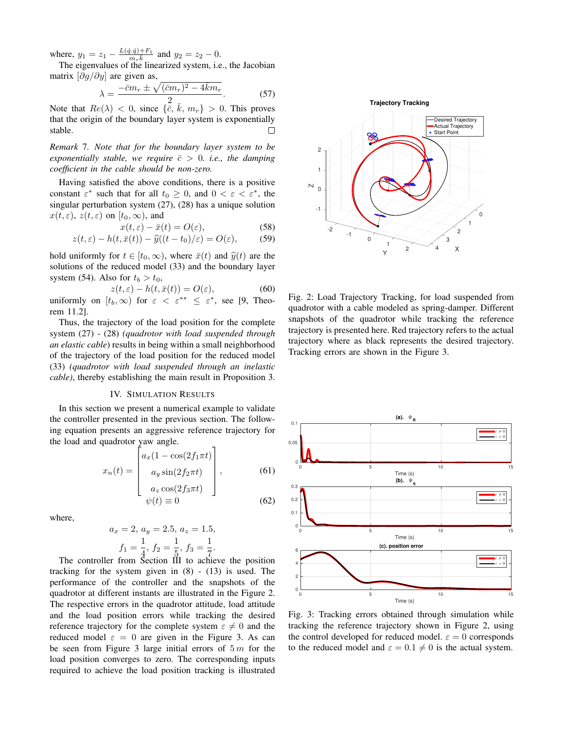where,  $y_1 = z_1 - \frac{L(\dot{q}, \dot{q}) + F_1}{m_r \dot{k}}$  and  $y_2 = z_2 - 0$ .

The eigenvalues of the linearized system, i.e., the Jacobian matrix  $\left[\partial g / \partial y\right]$  are given as,

$$
\lambda = \frac{-\bar{c}m_r \pm \sqrt{(\bar{c}m_r)^2 - 4\bar{k}m_r}}{2}
$$
 (57)

Note that  $Re(\lambda) < 0$ , since  $\{\bar{\bar{c}}, \bar{k}, m_r\} > 0$ . This proves that the origin of the boundary layer system is exponentially stable.  $\Box$ 

*Remark* 7*. Note that for the boundary layer system to be exponentially stable, we require*  $\bar{c} > 0$ *. i.e., the damping coefficient in the cable should be non-zero.*

Having satisfied the above conditions, there is a positive constant  $\varepsilon^*$  such that for all  $t_0 \geq 0$ , and  $0 < \varepsilon < \varepsilon^*$ , the singular perturbation system (27), (28) has a unique solution  $x(t, \varepsilon)$ ,  $z(t, \varepsilon)$  on  $[t_0, \infty)$ , and

$$
x(t,\varepsilon) - \bar{x}(t) = O(\varepsilon),\tag{58}
$$

$$
z(t,\varepsilon) - h(t,\bar{x}(t)) - \hat{y}((t-t_0)/\varepsilon) = O(\varepsilon), \qquad (59)
$$

hold uniformly for  $t \in [t_0, \infty)$ , where  $\bar{x}(t)$  and  $\hat{y}(t)$  are the solutions of the reduced model (33) and the boundary layer system (54). Also for  $t_b > t_0$ ,

 $z(t, \varepsilon) - h(t, \bar{x}(t)) = O(\varepsilon),$  (60) uniformly on  $[t_b, \infty)$  for  $\varepsilon < \varepsilon^{**} \leq \varepsilon^*$ , see [9, Theorem 11.2].

Thus, the trajectory of the load position for the complete system (27) - (28) *(quadrotor with load suspended through an elastic cable*) results in being within a small neighborhood of the trajectory of the load position for the reduced model (33) *(quadrotor with load suspended through an inelastic cable)*, thereby establishing the main result in Proposition 3.

## IV. SIMULATION RESULTS

In this section we present a numerical example to validate the controller presented in the previous section. The following equation presents an aggressive reference trajectory for the load and quadrotor yaw angle.

$$
x_n(t) = \begin{bmatrix} a_x(1 - \cos(2f_1 \pi t)) \\ a_y \sin(2f_2 \pi t) \\ a_z \cos(2f_3 \pi t) \\ \psi(t) \equiv 0 \end{bmatrix},
$$
(61)  
(62)

where,

$$
a_x = 2, a_y = 2.5, a_z = 1.5,
$$
  
 $f_1 = \frac{1}{4}, f_2 = \frac{1}{5}, f_3 = \frac{1}{7}.$ 

The controller from Section III to achieve the position tracking for the system given in  $(8)$  -  $(13)$  is used. The performance of the controller and the snapshots of the quadrotor at different instants are illustrated in the Figure 2. The respective errors in the quadrotor attitude, load attitude and the load position errors while tracking the desired reference trajectory for the complete system  $\varepsilon \neq 0$  and the reduced model  $\varepsilon = 0$  are given in the Figure 3. As can be seen from Figure 3 large initial errors of  $5m$  for the load position converges to zero. The corresponding inputs required to achieve the load position tracking is illustrated



Fig. 2: Load Trajectory Tracking, for load suspended from quadrotor with a cable modeled as spring-damper. Different snapshots of the quadrotor while tracking the reference trajectory is presented here. Red trajectory refers to the actual trajectory where as black represents the desired trajectory. Tracking errors are shown in the Figure 3.



Fig. 3: Tracking errors obtained through simulation while tracking the reference trajectory shown in Figure 2, using the control developed for reduced model.  $\varepsilon = 0$  corresponds to the reduced model and  $\varepsilon = 0.1 \neq 0$  is the actual system.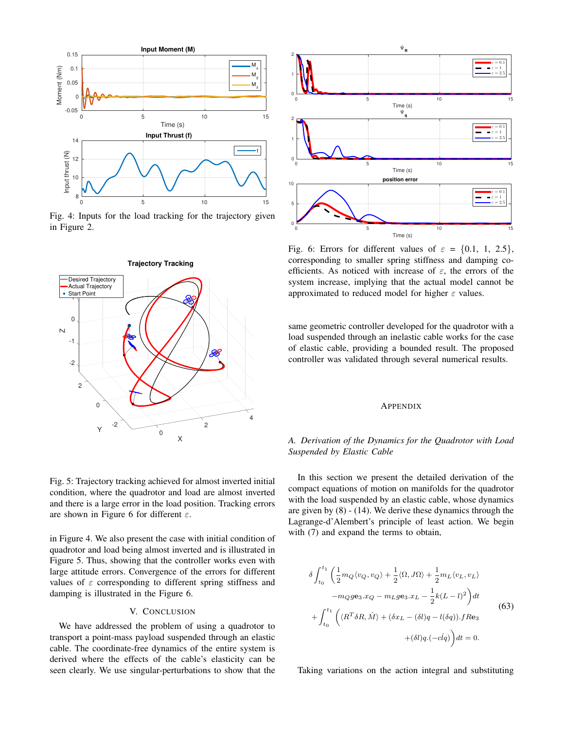

Fig. 4: Inputs for the load tracking for the trajectory given in Figure 2.





in Figure 4. We also present the case with initial condition of quadrotor and load being almost inverted and is illustrated in Figure 5. Thus, showing that the controller works even with large attitude errors. Convergence of the errors for different values of  $\varepsilon$  corresponding to different spring stiffness and damping is illustrated in the Figure 6.

## V. CONCLUSION

We have addressed the problem of using a quadrotor to transport a point-mass payload suspended through an elastic cable. The coordinate-free dynamics of the entire system is derived where the effects of the cable's elasticity can be seen clearly. We use singular-perturbations to show that the



Fig. 6: Errors for different values of  $\varepsilon = \{0.1, 1, 2.5\}$ , corresponding to smaller spring stiffness and damping coefficients. As noticed with increase of  $\varepsilon$ , the errors of the system increase, implying that the actual model cannot be approximated to reduced model for higher  $\varepsilon$  values.

same geometric controller developed for the quadrotor with a load suspended through an inelastic cable works for the case of elastic cable, providing a bounded result. The proposed controller was validated through several numerical results.

#### **APPENDIX**

## *A. Derivation of the Dynamics for the Quadrotor with Load Suspended by Elastic Cable*

In this section we present the detailed derivation of the compact equations of motion on manifolds for the quadrotor with the load suspended by an elastic cable, whose dynamics are given by (8) - (14). We derive these dynamics through the Lagrange-d'Alembert's principle of least action. We begin with  $(7)$  and expand the terms to obtain,

$$
\delta \int_{t_0}^{t_1} \left( \frac{1}{2} m_Q \langle v_Q, v_Q \rangle + \frac{1}{2} \langle \Omega, J\Omega \rangle + \frac{1}{2} m_L \langle v_L, v_L \rangle \right.-m_Q g \mathbf{e}_3.x_Q - m_L g \mathbf{e}_3.x_L - \frac{1}{2} k (L - l)^2 \right) dt + \int_{t_0}^{t_1} \left( \langle R^T \delta R, \hat{M} \rangle + (\delta x_L - (\delta l)q - l(\delta q)).f Re_3 \right.+ (\delta l) q. (-clq) dt = 0.
$$
 (63)

Taking variations on the action integral and substituting